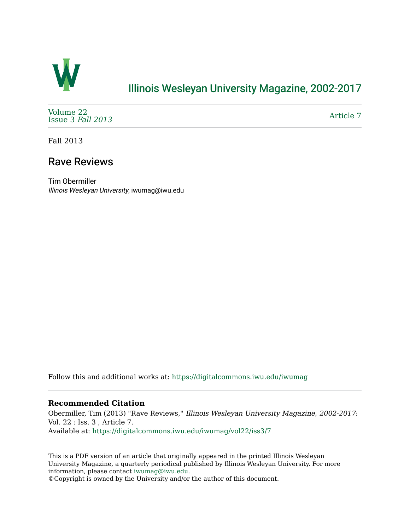

## [Illinois Wesleyan University Magazine, 2002-2017](https://digitalcommons.iwu.edu/iwumag)

[Volume 22](https://digitalcommons.iwu.edu/iwumag/vol22)  [Issue 3](https://digitalcommons.iwu.edu/iwumag/vol22/iss3) Fall 2013

[Article 7](https://digitalcommons.iwu.edu/iwumag/vol22/iss3/7) 

Fall 2013

## Rave Reviews

Tim Obermiller Illinois Wesleyan University, iwumag@iwu.edu

Follow this and additional works at: [https://digitalcommons.iwu.edu/iwumag](https://digitalcommons.iwu.edu/iwumag?utm_source=digitalcommons.iwu.edu%2Fiwumag%2Fvol22%2Fiss3%2F7&utm_medium=PDF&utm_campaign=PDFCoverPages) 

## **Recommended Citation**

Obermiller, Tim (2013) "Rave Reviews," Illinois Wesleyan University Magazine, 2002-2017: Vol. 22 : Iss. 3 , Article 7. Available at: [https://digitalcommons.iwu.edu/iwumag/vol22/iss3/7](https://digitalcommons.iwu.edu/iwumag/vol22/iss3/7?utm_source=digitalcommons.iwu.edu%2Fiwumag%2Fvol22%2Fiss3%2F7&utm_medium=PDF&utm_campaign=PDFCoverPages)

This is a PDF version of an article that originally appeared in the printed Illinois Wesleyan University Magazine, a quarterly periodical published by Illinois Wesleyan University. For more information, please contact [iwumag@iwu.edu](mailto:iwumag@iwu.edu).

©Copyright is owned by the University and/or the author of this document.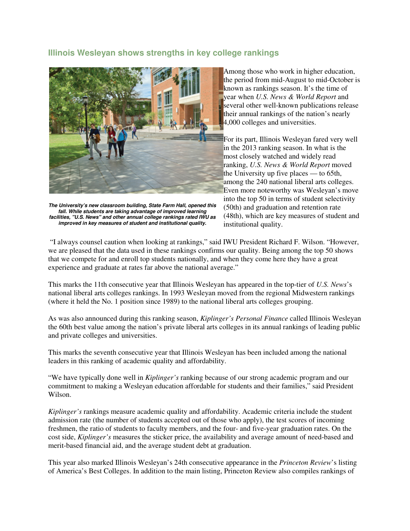## **Illinois Wesleyan shows strengths in key college rankings**



**The University's new classroom building, State Farm Hall, opened this fall. While students are taking advantage of improved learning facilities, "U.S. News" and other annual college rankings rated IWU as improved in key measures of student and institutional quality.**

Among those who work in higher education, the period from mid-August to mid-October is known as rankings season. It's the time of year when *U.S. News & World Report* and several other well-known publications release their annual rankings of the nation's nearly 4,000 colleges and universities.

For its part, Illinois Wesleyan fared very well in the 2013 ranking season. In what is the most closely watched and widely read ranking, *U.S. News & World Report* moved the University up five places — to 65th, among the 240 national liberal arts colleges. Even more noteworthy was Wesleyan's move into the top 50 in terms of student selectivity (50th) and graduation and retention rate (48th), which are key measures of student and institutional quality.

 "I always counsel caution when looking at rankings," said IWU President Richard F. Wilson. "However, we are pleased that the data used in these rankings confirms our quality. Being among the top 50 shows that we compete for and enroll top students nationally, and when they come here they have a great experience and graduate at rates far above the national average."

This marks the 11th consecutive year that Illinois Wesleyan has appeared in the top-tier of *U.S. News*'s national liberal arts colleges rankings. In 1993 Wesleyan moved from the regional Midwestern rankings (where it held the No. 1 position since 1989) to the national liberal arts colleges grouping.

As was also announced during this ranking season, *Kiplinger's Personal Finance* called Illinois Wesleyan the 60th best value among the nation's private liberal arts colleges in its annual rankings of leading public and private colleges and universities.

This marks the seventh consecutive year that Illinois Wesleyan has been included among the national leaders in this ranking of academic quality and affordability.

"We have typically done well in *Kiplinger's* ranking because of our strong academic program and our commitment to making a Wesleyan education affordable for students and their families," said President Wilson.

*Kiplinger's* rankings measure academic quality and affordability. Academic criteria include the student admission rate (the number of students accepted out of those who apply), the test scores of incoming freshmen, the ratio of students to faculty members, and the four- and five-year graduation rates. On the cost side, *Kiplinger's* measures the sticker price, the availability and average amount of need-based and merit-based financial aid, and the average student debt at graduation.

This year also marked Illinois Wesleyan's 24th consecutive appearance in the *Princeton Review*'s listing of America's Best Colleges. In addition to the main listing, Princeton Review also compiles rankings of